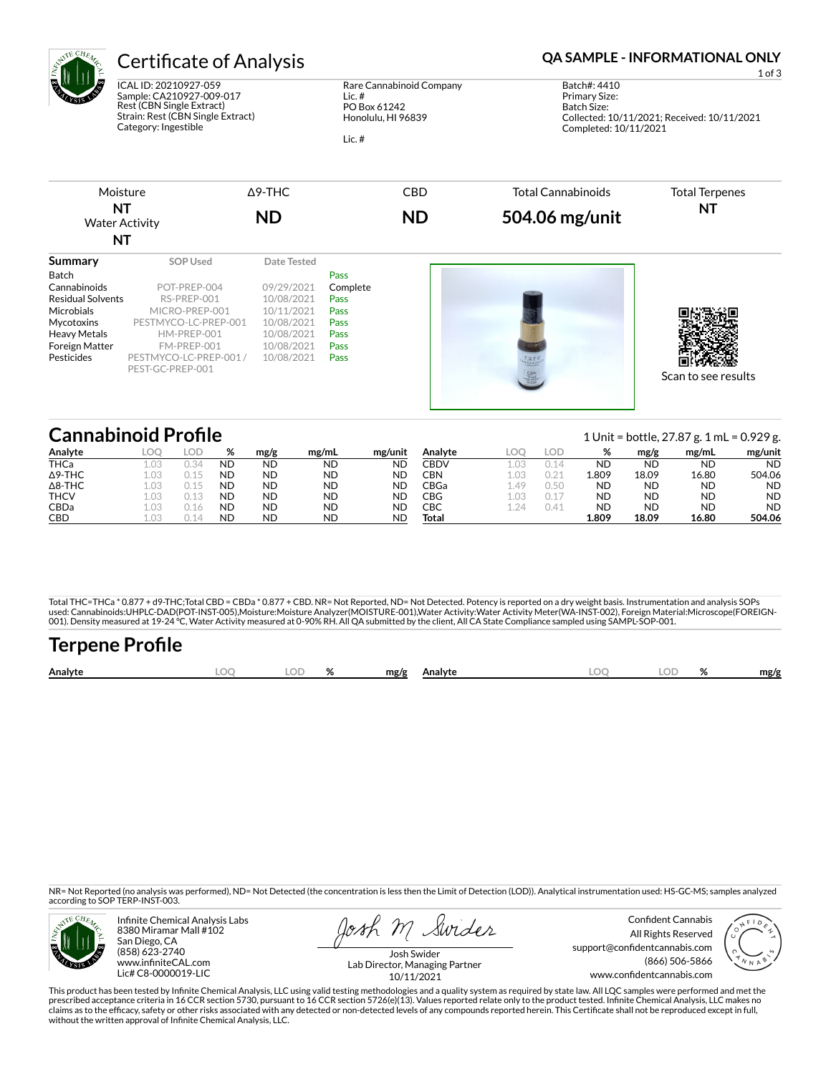

ICAL ID: 20210927-059 Sample: CA210927-009-017 Rest (CBN Single Extract) Strain: Rest (CBN Single Extract) Category: Ingestible

#### Rare Cannabinoid Company Lic. # PO Box 61242 Honolulu, HI 96839

Lic. #

# Certificate of Analysis **Certificate of Analysis QA SAMPLE - INFORMATIONAL ONLY**

1 of 3 Batch#: 4410 Primary Size: Batch Size: Collected: 10/11/2021; Received: 10/11/2021 Completed: 10/11/2021



#### **Cannabinoid Profile** 1 Unit = bottle, 27.87 g. 1 mL = 0.929 g. **Analyte LOQ LOD % mg/g mg/mL mg/unit** THCa 1.03 0.34 ND ND ND ND Δ9-THC 1.03 0.15 ND ND ND ND Δ8-THC 1.03 0.15 ND ND ND ND THCV 1.03 0.13 ND ND ND ND CBDa 1.03 0.16 ND ND ND ND CBD 1.03 0.14 ND ND ND ND **Analyte LOQ LOD % mg/g mg/mL mg/unit** CBDV 1.03 0.14 ND ND ND ND CBN 1.03 0.21 1.809 18.09 16.80 504.06 CBGa 1.49 0.50 ND ND ND ND CBG 1.03 0.17 ND ND ND ND CBC 1.24 0.41 ND ND ND ND **Total 1.809 18.09 16.80 504.06**

Total THC=THCa \* 0.877 + d9-THC;Total CBD = CBDa \* 0.877 + CBD. NR= Not Reported, ND= Not Detected. Potency is reported on a dry weight basis. Instrumentation and analysis SOPs used: Cannabinoids:UHPLC-DAD(POT-INST-005),Moisture:Moisture Analyzer(MOISTURE-001),Water Activity:Water Activity Meter(WA-INST-002), Foreign Material:Microscope(FOREIGN-001). Density measured at 19-24 °C, Water Activity measured at 0-90% RH. All QA submitted by the client, All CA State Compliance sampled using SAMPL-SOP-001.

| <b>Terpene Profile</b> |     |       |              |       |                   |      |
|------------------------|-----|-------|--------------|-------|-------------------|------|
| Analyte                | LOO | LOD % | mg/g Analyte | LOO - | LOD <sub>26</sub> | mg/g |

NR= Not Reported (no analysis was performed), ND= Not Detected (the concentration is less then the Limit of Detection (LOD)). Analytical instrumentation used: HS-GC-MS; samples analyzed according to SOP TERP-INST-003.



Infinite Chemical Analysis Labs 8380 Miramar Mall #102 San Diego, CA (858) 623-2740 www.infiniteCAL.com Lic# C8-0000019-LIC

osh m Swider

Confident Cannabis All Rights Reserved support@confidentcannabis.com (866) 506-5866 www.confidentcannabis.com



Josh Swider Lab Director, Managing Partner 10/11/2021

This product has been tested by Infinite Chemical Analysis, LLC using valid testing methodologies and a quality system as required by state law. All LQC samples were performed and met the prescribed acceptance criteria in 16 CCR section 5730, pursuant to 16 CCR section 5726(e)(13). Values reported relate only to the product tested. Infinite Chemical Analysis, LLC makes no<br>claims as to the efficacy, safety o without the written approval of Infinite Chemical Analysis, LLC.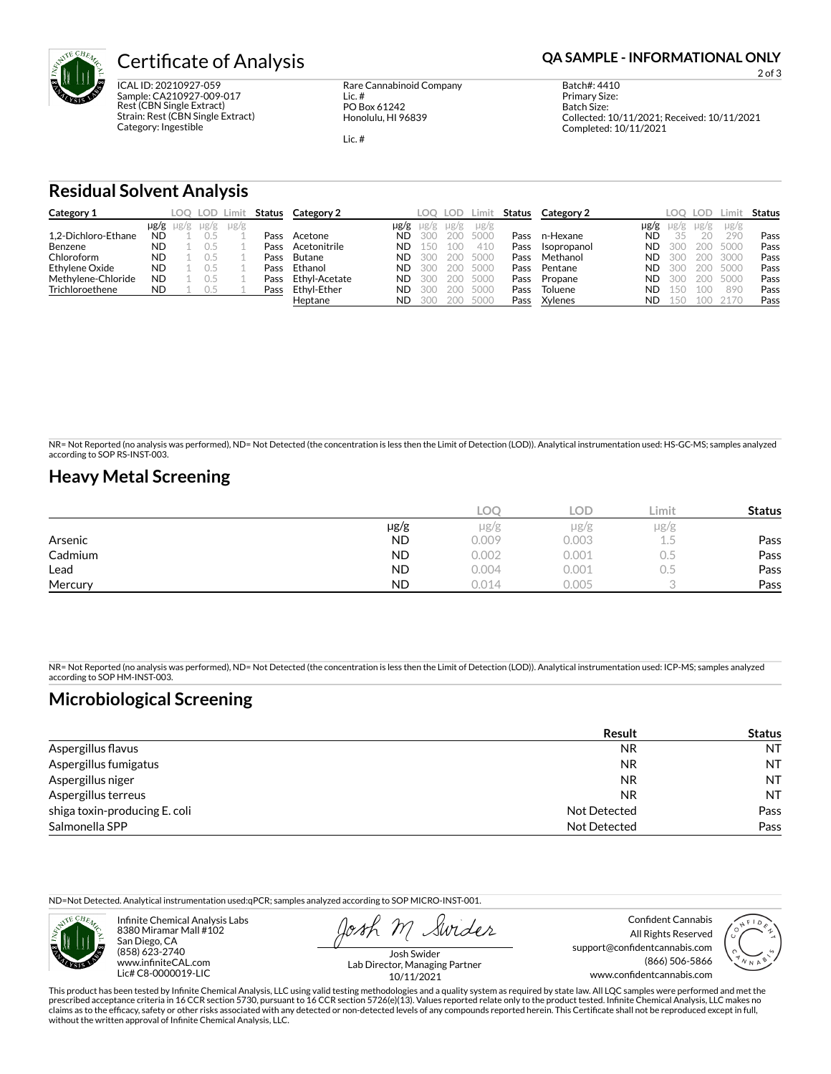

**Certificate of Analysis <b>Certificate of Analysis QA SAMPLE - INFORMATIONAL ONLY** 

ICAL ID: 20210927-059 Sample: CA210927-009-017 Rest (CBN Single Extract) Strain: Rest (CBN Single Extract) Category: Ingestible

Rare Cannabinoid Company Lic. # PO Box 61242 Honolulu, HI 96839

Lic. #

2 of 3

Batch#: 4410 Primary Size: Batch Size: Collected: 10/11/2021; Received: 10/11/2021 Completed: 10/11/2021

## **Residual Solvent Analysis**

| Category 1          |           |                     | LOO LOD I | Limit     | Status | Category 2    |           | LOO  | LOD. | Limit     | Status | Category 2  |      | LOO.      | LOD.   | Limit.    | Status |
|---------------------|-----------|---------------------|-----------|-----------|--------|---------------|-----------|------|------|-----------|--------|-------------|------|-----------|--------|-----------|--------|
|                     |           | $\mu$ g/g $\mu$ g/g | $\mu$ g/g | $\mu$ g/g |        |               | $\mu$ g/g | ug/g | ug/g | $\mu$ g/g |        |             | µg/g | $\mu$ g/g | µg/g   | $\mu$ g/g |        |
| 1.2-Dichloro-Ethane | <b>ND</b> |                     |           |           | Pass   | Acetone       | ND        | 300  | 200  | 5000      | Pass   | n-Hexane    | ND   | 35        | $20 -$ | 290       | Pass   |
| Benzene             | <b>ND</b> |                     |           |           | Pass   | Acetonitrile  | ND        | 150  | 100  | 410       | Pass   | Isopropanol | ND   | 300       | 200    | 5000      | Pass   |
| Chloroform          | <b>ND</b> |                     |           |           | Pass   | Butane        | <b>ND</b> | 300  | 200  | 5000      | Pass   | Methanol    | ND   | 300       | 200    | 3000      | Pass   |
| Ethylene Oxide      | <b>ND</b> |                     |           |           | Pass   | Ethanol       | <b>ND</b> | 300  | 200  | 5000      | Pass   | Pentane     | ND   | 300       | 200    | 5000      | Pass   |
| Methylene-Chloride  | <b>ND</b> |                     |           |           | Pass   | Ethyl-Acetate | ND        | 300  | 200  | 5000      | Pass   | Propane     | ND   | 300       | 200    | 5000      | Pass   |
| Trichloroethene     | <b>ND</b> |                     | U.5       |           | Pass   | Ethvl-Ether   | ND        | 300  | 200  | 5000      | Pass   | Toluene     | ND   | 150       | 100    | 890       | Pass   |
|                     |           |                     |           |           |        | Heptane       | ND        | 300  | 200  | 5000      | Pass   | Xylenes     | ND   | 150       | 100    | 2170      | Pass   |

NR= Not Reported (no analysis was performed), ND= Not Detected (the concentration is less then the Limit of Detection (LOD)). Analytical instrumentation used: HS-GC-MS; samples analyzed according to SOP RS-INST-003.

## **Heavy Metal Screening**

|         |           | LOC   | LOD.  | Limit | <b>Status</b> |
|---------|-----------|-------|-------|-------|---------------|
|         | µg/g      | µg/g  | µg/g  | µg/g  |               |
| Arsenic | <b>ND</b> | 0.009 | 0.003 | L.5   | Pass          |
| Cadmium | <b>ND</b> | 0.002 | 0.001 | U.5   | Pass          |
| Lead    | <b>ND</b> | 0.004 | 0.001 | U.5   | Pass          |
| Mercury | <b>ND</b> | 0.014 | 0.005 |       | Pass          |

NR= Not Reported (no analysis was performed), ND= Not Detected (the concentration is less then the Limit of Detection (LOD)). Analytical instrumentation used: ICP-MS; samples analyzed according to SOP HM-INST-003.

# **Microbiological Screening**

|                               | Result       | <b>Status</b> |
|-------------------------------|--------------|---------------|
| Aspergillus flavus            | <b>NR</b>    | <b>NT</b>     |
| Aspergillus fumigatus         | <b>NR</b>    | <b>NT</b>     |
| Aspergillus niger             | NR           | <b>NT</b>     |
| Aspergillus terreus           | NR           | <b>NT</b>     |
| shiga toxin-producing E. coli | Not Detected | Pass          |
| Salmonella SPP                | Not Detected | Pass          |

ND=Not Detected. Analytical instrumentation used:qPCR; samples analyzed according to SOP MICRO-INST-001.



Infinite Chemical Analysis Labs 8380 Miramar Mall #102 San Diego, CA (858) 623-2740 www.infiniteCAL.com Lic# C8-0000019-LIC

Swider

Confident Cannabis All Rights Reserved support@confidentcannabis.com (866) 506-5866 www.confidentcannabis.com



Josh Swider Lab Director, Managing Partner 10/11/2021

This product has been tested by Infinite Chemical Analysis, LLC using valid testing methodologies and a quality system as required by state law. All LQC samples were performed and met the prescribed acceptance criteria in 16 CCR section 5730, pursuant to 16 CCR section 5726(e)(13). Values reported relate only to the product tested. Infinite Chemical Analysis, LLC makes no<br>claims as to the efficacy, safety o without the written approval of Infinite Chemical Analysis, LLC.